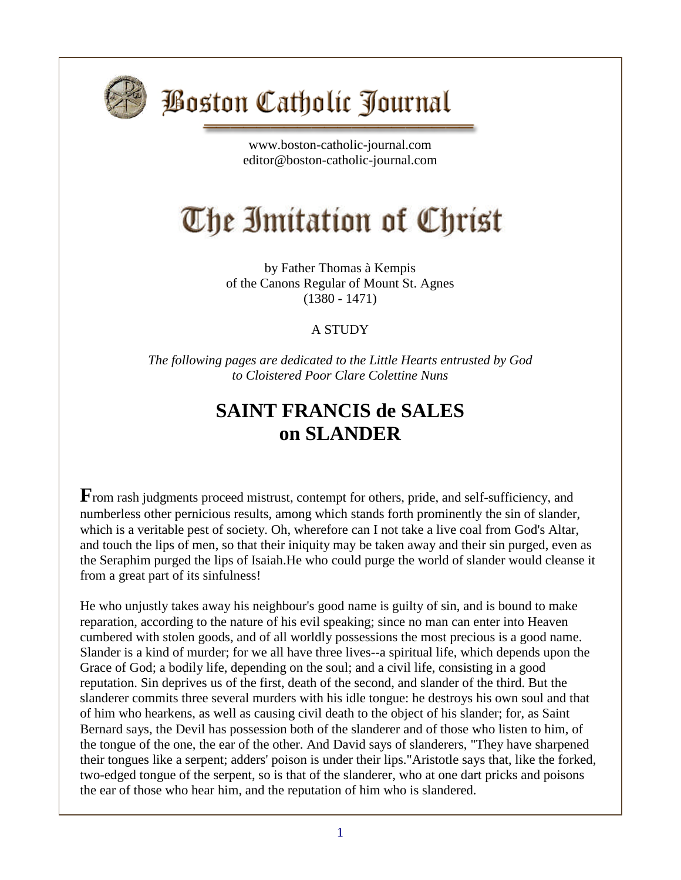

**Poston Catholic Journal** 

[www.boston-catholic-journal.com](http://www.boston-catholic-journal.com/) editor@boston-catholic-journal.com

## The Imitation of Christ

by Father Thomas à Kempis of the Canons Regular of Mount St. Agnes (1380 - 1471)

A STUDY

*The following pages are dedicated to the Little Hearts entrusted by God to Cloistered Poor Clare Colettine Nuns*

## **SAINT FRANCIS de SALES on SLANDER**

**F**rom rash judgments proceed mistrust, contempt for others, pride, and self-sufficiency, and numberless other pernicious results, among which stands forth prominently the sin of slander, which is a veritable pest of society. Oh, wherefore can I not take a live coal from God's Altar, and touch the lips of men, so that their iniquity may be taken away and their sin purged, even as the Seraphim purged the lips of Isaiah.He who could purge the world of slander would cleanse it from a great part of its sinfulness!

He who unjustly takes away his neighbour's good name is guilty of sin, and is bound to make reparation, according to the nature of his evil speaking; since no man can enter into Heaven cumbered with stolen goods, and of all worldly possessions the most precious is a good name. Slander is a kind of murder; for we all have three lives--a spiritual life, which depends upon the Grace of God; a bodily life, depending on the soul; and a civil life, consisting in a good reputation. Sin deprives us of the first, death of the second, and slander of the third. But the slanderer commits three several murders with his idle tongue: he destroys his own soul and that of him who hearkens, as well as causing civil death to the object of his slander; for, as Saint Bernard says, the Devil has possession both of the slanderer and of those who listen to him, of the tongue of the one, the ear of the other. And David says of slanderers, "They have sharpened their tongues like a serpent; adders' poison is under their lips."Aristotle says that, like the forked, two-edged tongue of the serpent, so is that of the slanderer, who at one dart pricks and poisons the ear of those who hear him, and the reputation of him who is slandered.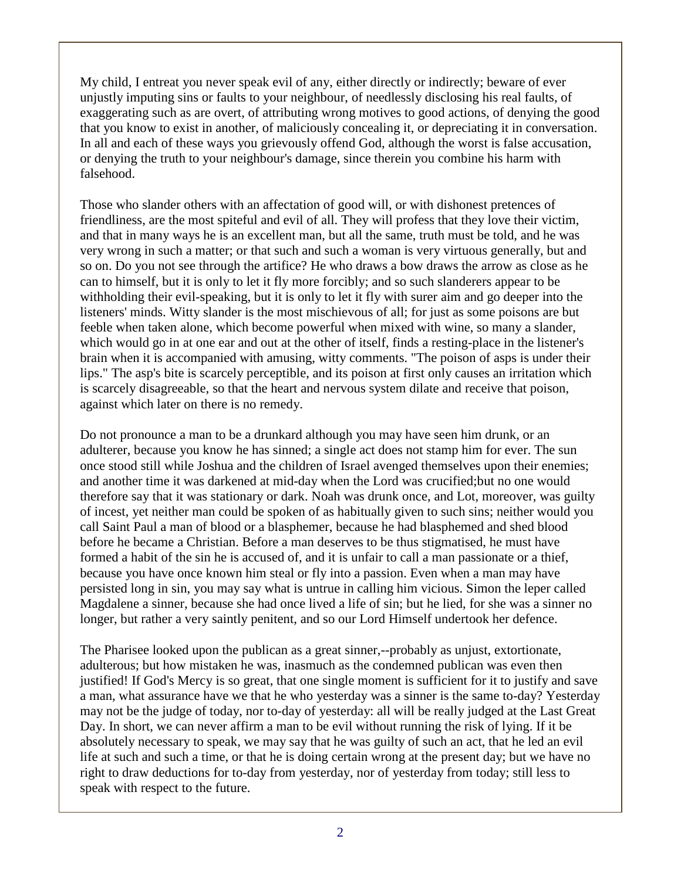My child, I entreat you never speak evil of any, either directly or indirectly; beware of ever unjustly imputing sins or faults to your neighbour, of needlessly disclosing his real faults, of exaggerating such as are overt, of attributing wrong motives to good actions, of denying the good that you know to exist in another, of maliciously concealing it, or depreciating it in conversation. In all and each of these ways you grievously offend God, although the worst is false accusation, or denying the truth to your neighbour's damage, since therein you combine his harm with falsehood.

Those who slander others with an affectation of good will, or with dishonest pretences of friendliness, are the most spiteful and evil of all. They will profess that they love their victim, and that in many ways he is an excellent man, but all the same, truth must be told, and he was very wrong in such a matter; or that such and such a woman is very virtuous generally, but and so on. Do you not see through the artifice? He who draws a bow draws the arrow as close as he can to himself, but it is only to let it fly more forcibly; and so such slanderers appear to be withholding their evil-speaking, but it is only to let it fly with surer aim and go deeper into the listeners' minds. Witty slander is the most mischievous of all; for just as some poisons are but feeble when taken alone, which become powerful when mixed with wine, so many a slander, which would go in at one ear and out at the other of itself, finds a resting-place in the listener's brain when it is accompanied with amusing, witty comments. "The poison of asps is under their lips." The asp's bite is scarcely perceptible, and its poison at first only causes an irritation which is scarcely disagreeable, so that the heart and nervous system dilate and receive that poison, against which later on there is no remedy.

Do not pronounce a man to be a drunkard although you may have seen him drunk, or an adulterer, because you know he has sinned; a single act does not stamp him for ever. The sun once stood still while Joshua and the children of Israel avenged themselves upon their enemies; and another time it was darkened at mid-day when the Lord was crucified;but no one would therefore say that it was stationary or dark. Noah was drunk once, and Lot, moreover, was guilty of incest, yet neither man could be spoken of as habitually given to such sins; neither would you call Saint Paul a man of blood or a blasphemer, because he had blasphemed and shed blood before he became a Christian. Before a man deserves to be thus stigmatised, he must have formed a habit of the sin he is accused of, and it is unfair to call a man passionate or a thief, because you have once known him steal or fly into a passion. Even when a man may have persisted long in sin, you may say what is untrue in calling him vicious. Simon the leper called Magdalene a sinner, because she had once lived a life of sin; but he lied, for she was a sinner no longer, but rather a very saintly penitent, and so our Lord Himself undertook her defence.

The Pharisee looked upon the publican as a great sinner,--probably as unjust, extortionate, adulterous; but how mistaken he was, inasmuch as the condemned publican was even then justified! If God's Mercy is so great, that one single moment is sufficient for it to justify and save a man, what assurance have we that he who yesterday was a sinner is the same to-day? Yesterday may not be the judge of today, nor to-day of yesterday: all will be really judged at the Last Great Day. In short, we can never affirm a man to be evil without running the risk of lying. If it be absolutely necessary to speak, we may say that he was guilty of such an act, that he led an evil life at such and such a time, or that he is doing certain wrong at the present day; but we have no right to draw deductions for to-day from yesterday, nor of yesterday from today; still less to speak with respect to the future.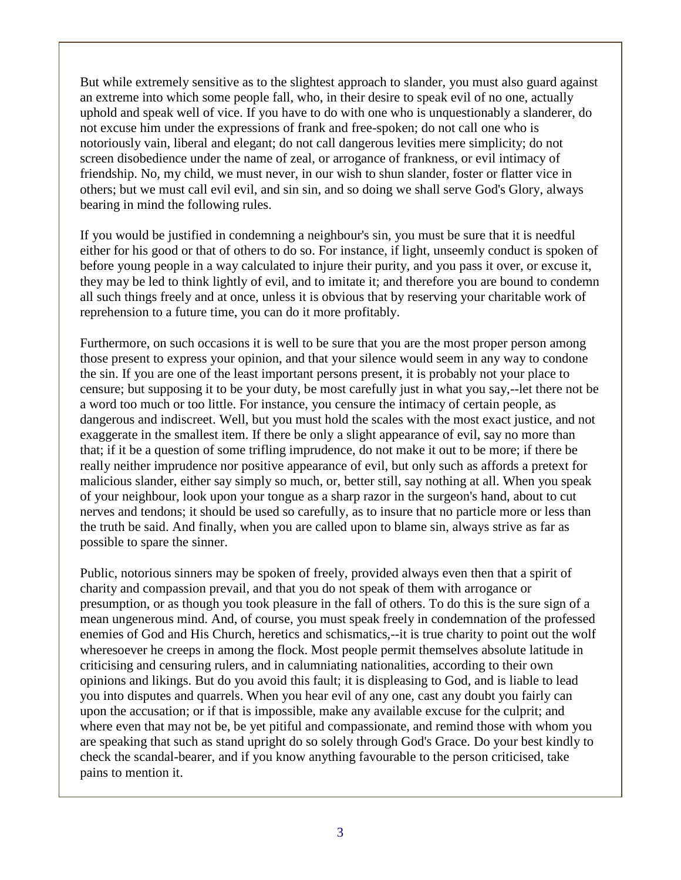But while extremely sensitive as to the slightest approach to slander, you must also guard against an extreme into which some people fall, who, in their desire to speak evil of no one, actually uphold and speak well of vice. If you have to do with one who is unquestionably a slanderer, do not excuse him under the expressions of frank and free-spoken; do not call one who is notoriously vain, liberal and elegant; do not call dangerous levities mere simplicity; do not screen disobedience under the name of zeal, or arrogance of frankness, or evil intimacy of friendship. No, my child, we must never, in our wish to shun slander, foster or flatter vice in others; but we must call evil evil, and sin sin, and so doing we shall serve God's Glory, always bearing in mind the following rules.

If you would be justified in condemning a neighbour's sin, you must be sure that it is needful either for his good or that of others to do so. For instance, if light, unseemly conduct is spoken of before young people in a way calculated to injure their purity, and you pass it over, or excuse it, they may be led to think lightly of evil, and to imitate it; and therefore you are bound to condemn all such things freely and at once, unless it is obvious that by reserving your charitable work of reprehension to a future time, you can do it more profitably.

Furthermore, on such occasions it is well to be sure that you are the most proper person among those present to express your opinion, and that your silence would seem in any way to condone the sin. If you are one of the least important persons present, it is probably not your place to censure; but supposing it to be your duty, be most carefully just in what you say,--let there not be a word too much or too little. For instance, you censure the intimacy of certain people, as dangerous and indiscreet. Well, but you must hold the scales with the most exact justice, and not exaggerate in the smallest item. If there be only a slight appearance of evil, say no more than that; if it be a question of some trifling imprudence, do not make it out to be more; if there be really neither imprudence nor positive appearance of evil, but only such as affords a pretext for malicious slander, either say simply so much, or, better still, say nothing at all. When you speak of your neighbour, look upon your tongue as a sharp razor in the surgeon's hand, about to cut nerves and tendons; it should be used so carefully, as to insure that no particle more or less than the truth be said. And finally, when you are called upon to blame sin, always strive as far as possible to spare the sinner.

Public, notorious sinners may be spoken of freely, provided always even then that a spirit of charity and compassion prevail, and that you do not speak of them with arrogance or presumption, or as though you took pleasure in the fall of others. To do this is the sure sign of a mean ungenerous mind. And, of course, you must speak freely in condemnation of the professed enemies of God and His Church, heretics and schismatics,--it is true charity to point out the wolf wheresoever he creeps in among the flock. Most people permit themselves absolute latitude in criticising and censuring rulers, and in calumniating nationalities, according to their own opinions and likings. But do you avoid this fault; it is displeasing to God, and is liable to lead you into disputes and quarrels. When you hear evil of any one, cast any doubt you fairly can upon the accusation; or if that is impossible, make any available excuse for the culprit; and where even that may not be, be yet pitiful and compassionate, and remind those with whom you are speaking that such as stand upright do so solely through God's Grace. Do your best kindly to check the scandal-bearer, and if you know anything favourable to the person criticised, take pains to mention it.